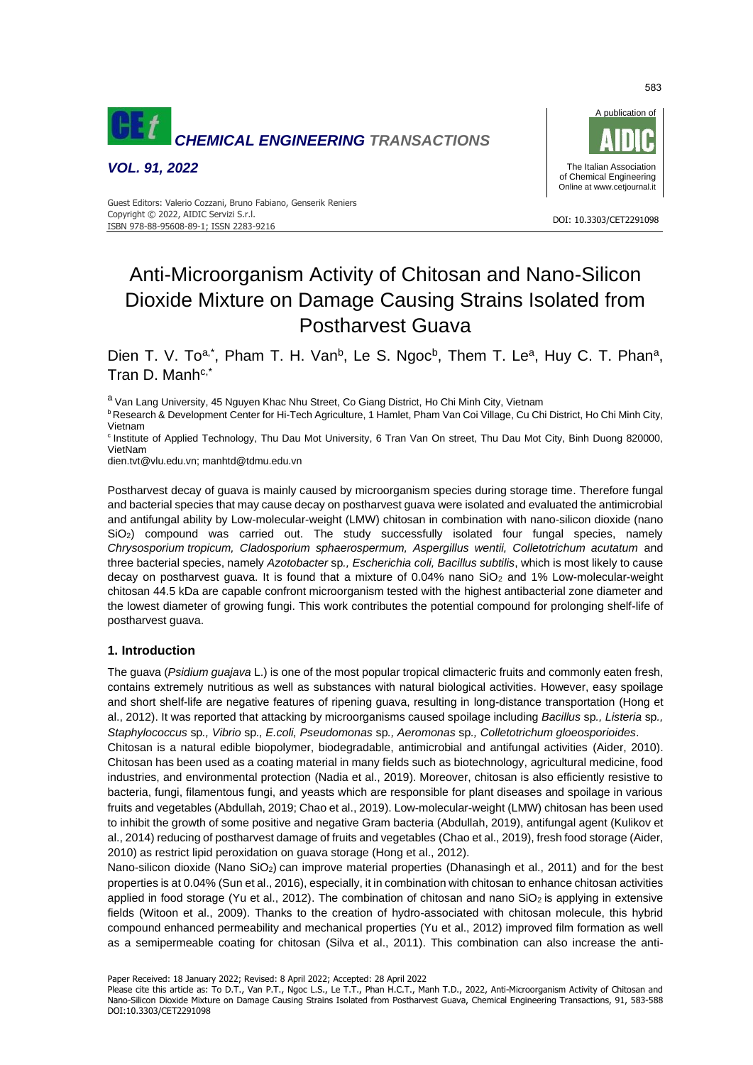

*VOL. 91, 2022*



#### DOI: 10.3303/CET2291098 ISBN 978-88-95608-89-1; ISSN 2283-9216 Guest Editors: Valerio Cozzani, Bruno Fabiano, Genserik Reniers Copyright © 2022, AIDIC Servizi S.r.l.

# Anti-Microorganism Activity of Chitosan and Nano-Silicon Dioxide Mixture on Damage Causing Strains Isolated from Postharvest Guava

Dien T. V. To<sup>a,\*</sup>, Pham T. H. Van<sup>b</sup>, Le S. Ngoc<sup>b</sup>, Them T. Le<sup>a</sup>, Huy C. T. Phan<sup>a</sup>, Tran D. Manhc,\*

a Van Lang University, 45 Nguyen Khac Nhu Street, Co Giang District, Ho Chi Minh City, Vietnam

<sup>b</sup> Research & Development Center for Hi-Tech Agriculture, 1 Hamlet, Pham Van Coi Village, Cu Chi District, Ho Chi Minh City, Vietnam

<sup>c</sup> Institute of Applied Technology, Thu Dau Mot University, 6 Tran Van On street, Thu Dau Mot City, Binh Duong 820000, VietNam

[dien.tvt@vlu.edu.vn;](mailto:dien.tvt@vlu.edu.vn) [manhtd@tdmu.edu.vn](mailto:manhtd@tdmu.edu.vn)

Postharvest decay of guava is mainly caused by microorganism species during storage time. Therefore fungal and bacterial species that may cause decay on postharvest guava were isolated and evaluated the antimicrobial and antifungal ability by Low-molecular-weight (LMW) chitosan in combination with nano-silicon dioxide (nano SiO<sub>2</sub>) compound was carried out. The study successfully isolated four fungal species, namely *Chrysosporium tropicum, Cladosporium sphaerospermum, Aspergillus wentii, Colletotrichum acutatum* and three bacterial species, namely *Azotobacter* sp*., Escherichia coli, Bacillus subtilis*, which is most likely to cause decay on postharvest guava. It is found that a mixture of  $0.04\%$  nano SiO<sub>2</sub> and 1% Low-molecular-weight chitosan 44.5 kDa are capable confront microorganism tested with the highest antibacterial zone diameter and the lowest diameter of growing fungi. This work contributes the potential compound for prolonging shelf-life of postharvest guava.

## **1. Introduction**

The guava (*Psidium guajava* L.) is one of the most popular tropical climacteric fruits and commonly eaten fresh, contains extremely nutritious as well as substances with natural biological activities. However, easy spoilage and short shelf-life are negative features of ripening guava, resulting in long-distance transportation (Hong et al., 2012). It was reported that attacking by microorganisms caused spoilage including *Bacillus* sp*., Listeria* sp*., Staphylococcus* sp*., Vibrio* sp*., E.coli, Pseudomonas* sp*., Aeromonas* sp*., Colletotrichum gloeosporioides*.

Chitosan is a natural edible biopolymer, biodegradable, antimicrobial and antifungal activities (Aider, 2010). Chitosan has been used as a coating material in many fields such as biotechnology, agricultural medicine, food industries, and environmental protection (Nadia et al., 2019). Moreover, chitosan is also efficiently resistive to bacteria, fungi, filamentous fungi, and yeasts which are responsible for plant diseases and spoilage in various fruits and vegetables (Abdullah, 2019; Chao et al., 2019). Low-molecular-weight (LMW) chitosan has been used to inhibit the growth of some positive and negative Gram bacteria (Abdullah, 2019), antifungal agent (Kulikov et al., 2014) reducing of postharvest damage of fruits and vegetables (Chao et al., 2019), fresh food storage (Aider, 2010) as restrict lipid peroxidation on guava storage (Hong et al., 2012).

Nano-silicon dioxide (Nano SiO<sub>2</sub>) can improve material properties (Dhanasingh et al., 2011) and for the best properties is at 0.04% (Sun et al., 2016), especially, it in combination with chitosan to enhance chitosan activities applied in food storage (Yu et al., 2012). The combination of chitosan and nano  $SiO<sub>2</sub>$  is applying in extensive fields (Witoon et al., 2009). Thanks to the creation of hydro-associated with chitosan molecule, this hybrid compound enhanced permeability and mechanical properties (Yu et al., 2012) improved film formation as well as a semipermeable coating for chitosan (Silva et al., 2011). This combination can also increase the anti-

Paper Received: 18 January 2022; Revised: 8 April 2022; Accepted: 28 April 2022

Please cite this article as: To D.T., Van P.T., Ngoc L.S., Le T.T., Phan H.C.T., Manh T.D., 2022, Anti-Microorganism Activity of Chitosan and Nano-Silicon Dioxide Mixture on Damage Causing Strains Isolated from Postharvest Guava, Chemical Engineering Transactions, 91, 583-588 DOI:10.3303/CET2291098

583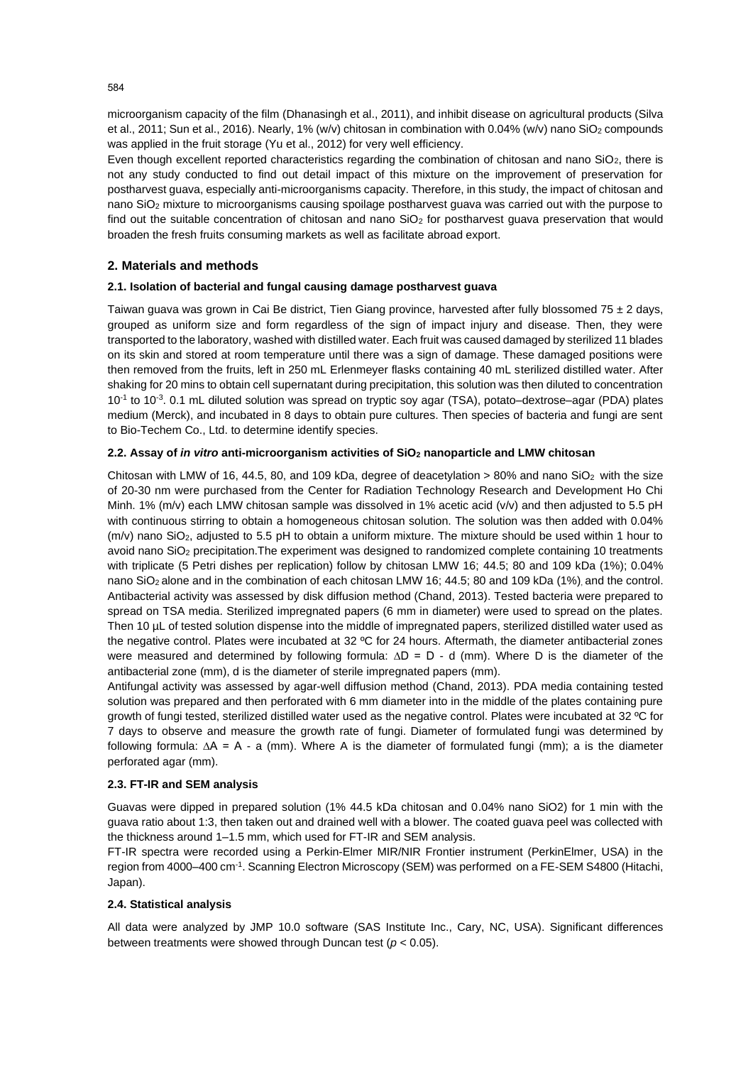microorganism capacity of the film (Dhanasingh et al., 2011), and inhibit disease on agricultural products (Silva et al., 2011; Sun et al., 2016). Nearly, 1% (w/v) chitosan in combination with 0.04% (w/v) nano SiO<sub>2</sub> compounds was applied in the fruit storage (Yu et al., 2012) for very well efficiency.

Even though excellent reported characteristics regarding the combination of chitosan and nano SiO2, there is not any study conducted to find out detail impact of this mixture on the improvement of preservation for postharvest guava, especially anti-microorganisms capacity. Therefore, in this study, the impact of chitosan and nano SiO<sup>2</sup> mixture to microorganisms causing spoilage postharvest guava was carried out with the purpose to find out the suitable concentration of chitosan and nano SiO<sub>2</sub> for postharvest guava preservation that would broaden the fresh fruits consuming markets as well as facilitate abroad export.

## **2. Materials and methods**

## **2.1. Isolation of bacterial and fungal causing damage postharvest guava**

Taiwan guava was grown in Cai Be district, Tien Giang province, harvested after fully blossomed 75  $\pm$  2 days, grouped as uniform size and form regardless of the sign of impact injury and disease. Then, they were transported to the laboratory, washed with distilled water. Each fruit was caused damaged by sterilized 11 blades on its skin and stored at room temperature until there was a sign of damage. These damaged positions were then removed from the fruits, left in 250 mL Erlenmeyer flasks containing 40 mL sterilized distilled water. After shaking for 20 mins to obtain cell supernatant during precipitation, this solution was then diluted to concentration 10-1 to 10-3 . 0.1 mL diluted solution was spread on tryptic soy agar (TSA), potato–dextrose–agar (PDA) plates medium (Merck), and incubated in 8 days to obtain pure cultures. Then species of bacteria and fungi are sent to Bio-Techem Co., Ltd. to determine identify species.

## **2.2. Assay of** *in vitro* **anti-microorganism activities of SiO<sup>2</sup> nanoparticle and LMW chitosan**

Chitosan with LMW of 16, 44.5, 80, and 109 kDa, degree of deacetylation  $> 80\%$  and nano SiO<sub>2</sub> with the size of 20-30 nm were purchased from the Center for Radiation Technology Research and Development Ho Chi Minh. 1% (m/v) each LMW chitosan sample was dissolved in 1% acetic acid (v/v) and then adjusted to 5.5 pH with continuous stirring to obtain a homogeneous chitosan solution. The solution was then added with 0.04% (m/v) nano SiO2, adjusted to 5.5 pH to obtain a uniform mixture. The mixture should be used within 1 hour to avoid nano SiO<sup>2</sup> precipitation.The experiment was designed to randomized complete containing 10 treatments with triplicate (5 Petri dishes per replication) follow by chitosan LMW 16; 44.5; 80 and 109 kDa (1%); 0.04% nano SiO<sub>2</sub> alone and in the combination of each chitosan LMW 16; 44.5; 80 and 109 kDa (1%), and the control. Antibacterial activity was assessed by disk diffusion method (Chand, 2013). Tested bacteria were prepared to spread on TSA media. Sterilized impregnated papers (6 mm in diameter) were used to spread on the plates. Then 10 µL of tested solution dispense into the middle of impregnated papers, sterilized distilled water used as the negative control. Plates were incubated at 32 ºC for 24 hours. Aftermath, the diameter antibacterial zones were measured and determined by following formula:  $\Delta D = D - d$  (mm). Where D is the diameter of the antibacterial zone (mm), d is the diameter of sterile impregnated papers (mm).

Antifungal activity was assessed by agar-well diffusion method (Chand, 2013). PDA media containing tested solution was prepared and then perforated with 6 mm diameter into in the middle of the plates containing pure growth of fungi tested, sterilized distilled water used as the negative control. Plates were incubated at 32 ºC for 7 days to observe and measure the growth rate of fungi. Diameter of formulated fungi was determined by following formula: ∆A = A - a (mm). Where A is the diameter of formulated fungi (mm); a is the diameter perforated agar (mm).

## **2.3. FT-IR and SEM analysis**

Guavas were dipped in prepared solution (1% 44.5 kDa chitosan and 0.04% nano SiO2) for 1 min with the guava ratio about 1:3, then taken out and drained well with a blower. The coated guava peel was collected with the thickness around 1–1.5 mm, which used for FT-IR and SEM analysis.

FT-IR spectra were recorded using a Perkin-Elmer MIR/NIR Frontier instrument (PerkinElmer, USA) in the region from 4000–400 cm-1 . Scanning Electron Microscopy (SEM) was performed on a FE-SEM S4800 (Hitachi, Japan).

## **2.4. Statistical analysis**

All data were analyzed by JMP 10.0 software (SAS Institute Inc., Cary, NC, USA). Significant differences between treatments were showed through Duncan test (*p* < 0.05).

584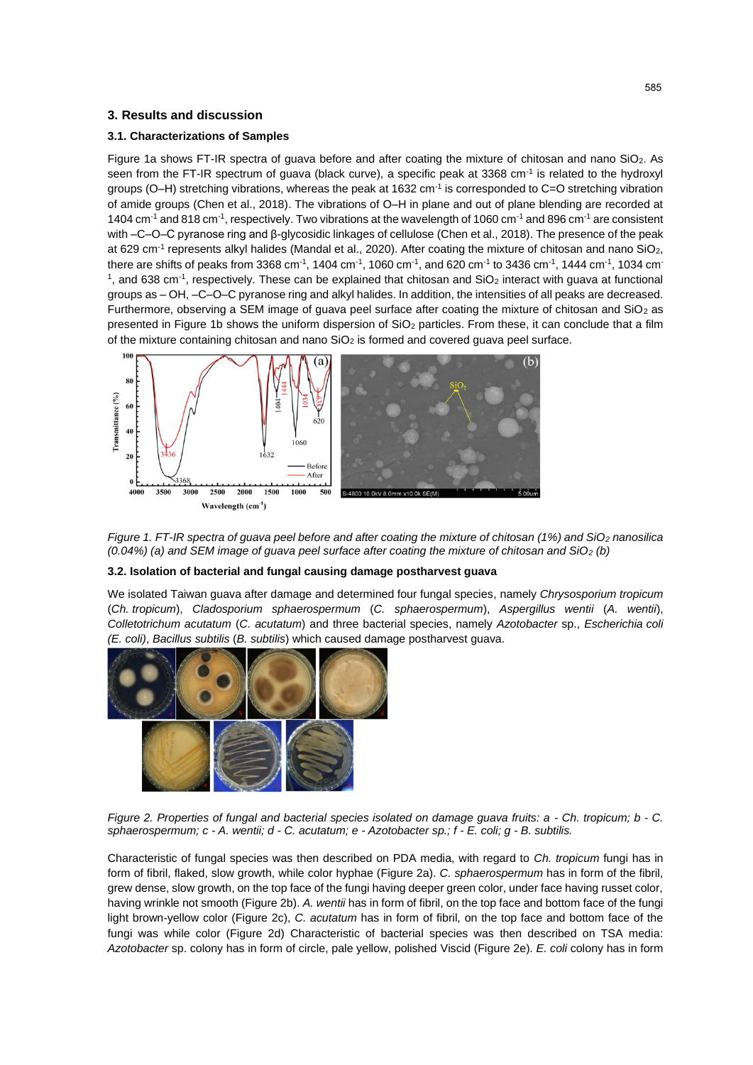## **3. Results and discussion**

#### **3.1. Characterizations of Samples**

Figure 1a shows FT-IR spectra of guava before and after coating the mixture of chitosan and nano SiO2. As seen from the FT-IR spectrum of guava (black curve), a specific peak at 3368 cm<sup>-1</sup> is related to the hydroxyl groups (O–H) stretching vibrations, whereas the peak at 1632 cm<sup>-1</sup> is corresponded to C=O stretching vibration of amide groups (Chen et al., 2018). The vibrations of O–H in plane and out of plane blending are recorded at 1404 cm<sup>-1</sup> and 818 cm<sup>-1</sup>, respectively. Two vibrations at the wavelength of 1060 cm<sup>-1</sup> and 896 cm<sup>-1</sup> are consistent with –C–O–C pyranose ring and β-glycosidic linkages of cellulose (Chen et al., 2018). The presence of the peak at 629 cm<sup>-1</sup> represents alkyl halides (Mandal et al., 2020). After coating the mixture of chitosan and nano SiO<sub>2</sub>, there are shifts of peaks from 3368 cm<sup>-1</sup>, 1404 cm<sup>-1</sup>, 1060 cm<sup>-1</sup>, and 620 cm<sup>-1</sup> to 3436 cm<sup>-1</sup>, 1444 cm<sup>-1</sup>, 1034 cm<sup>-</sup> <sup>1</sup>, and 638 cm<sup>-1</sup>, respectively. These can be explained that chitosan and SiO<sub>2</sub> interact with guava at functional groups as – OH, –C–O–C pyranose ring and alkyl halides. In addition, the intensities of all peaks are decreased. Furthermore, observing a SEM image of guava peel surface after coating the mixture of chitosan and  $SiO<sub>2</sub>$  as presented in Figure 1b shows the uniform dispersion of SiO<sub>2</sub> particles. From these, it can conclude that a film of the mixture containing chitosan and nano  $SiO<sub>2</sub>$  is formed and covered guava peel surface.



*Figure 1. FT-IR spectra of guava peel before and after coating the mixture of chitosan (1%) and SiO<sup>2</sup> nanosilica (0.04%) (a) and SEM image of guava peel surface after coating the mixture of chitosan and SiO<sup>2</sup> (b)*

#### **3.2. Isolation of bacterial and fungal causing damage postharvest guava**

We isolated Taiwan guava after damage and determined four fungal species, namely *Chrysosporium tropicum*  (*Ch. tropicum*), *Cladosporium sphaerospermum* (*C. sphaerospermum*), *Aspergillus wentii* (*A. wentii*), *Colletotrichum acutatum* (*C. acutatum*) and three bacterial species, namely *Azotobacter* sp., *Escherichia coli (E. coli)*, *Bacillus subtilis* (*B. subtilis*) which caused damage postharvest guava.



*Figure 2. Properties of fungal and bacterial species isolated on damage guava fruits: a - Ch. tropicum; b - C. sphaerospermum; c - A. wentii; d - C. acutatum; e - Azotobacter sp.; f - E. coli; g - B. subtilis.*

Characteristic of fungal species was then described on PDA media, with regard to *Ch. tropicum* fungi has in form of fibril, flaked, slow growth, while color hyphae (Figure 2a). *C. sphaerospermum* has in form of the fibril, grew dense, slow growth, on the top face of the fungi having deeper green color, under face having russet color, having wrinkle not smooth (Figure 2b). *A. wentii* has in form of fibril, on the top face and bottom face of the fungi light brown-yellow color (Figure 2c), *C. acutatum* has in form of fibril, on the top face and bottom face of the fungi was while color (Figure 2d) Characteristic of bacterial species was then described on TSA media: *Azotobacter* sp. colony has in form of circle, pale yellow, polished Viscid (Figure 2e). *E. coli* colony has in form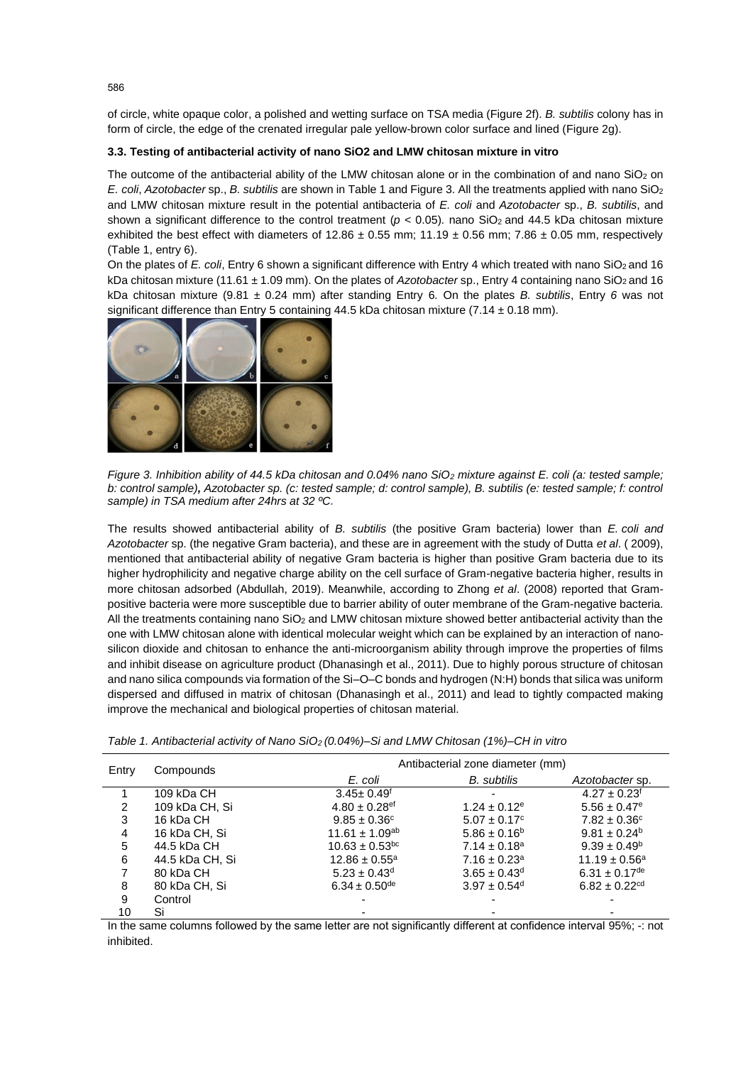of circle, white opaque color, a polished and wetting surface on TSA media (Figure 2f). *B. subtilis* colony has in form of circle, the edge of the crenated irregular pale yellow-brown color surface and lined (Figure 2g).

## **3.3. Testing of antibacterial activity of nano SiO2 and LMW chitosan mixture in vitro**

The outcome of the antibacterial ability of the LMW chitosan alone or in the combination of and nano SiO<sub>2</sub> on *E. coli*, *Azotobacter* sp., *B. subtilis* are shown in Table 1 and Figure 3. All the treatments applied with nano SiO<sup>2</sup> and LMW chitosan mixture result in the potential antibacteria of *E. coli* and *Azotobacter* sp., *B. subtilis*, and shown a significant difference to the control treatment (*p* < 0.05)*.* nano SiO2 and 44.5 kDa chitosan mixture exhibited the best effect with diameters of  $12.86 \pm 0.55$  mm;  $11.19 \pm 0.56$  mm;  $7.86 \pm 0.05$  mm, respectively (Table 1, entry 6).

On the plates of *E. coli*, Entry 6 shown a significant difference with Entry 4 which treated with nano SiO<sub>2</sub> and 16 kDa chitosan mixture (11.61 ± 1.09 mm). On the plates of *Azotobacter* sp., Entry 4 containing nano SiO<sub>2</sub> and 16 kDa chitosan mixture (9.81 ± 0.24 mm) after standing Entry 6*.* On the plates *B. subtilis*, Entry *6* was not significant difference than Entry 5 containing 44.5 kDa chitosan mixture (7.14 ± 0.18 mm).



*Figure 3. Inhibition ability of 44.5 kDa chitosan and 0.04% nano SiO<sub>2</sub> mixture against E. coli (a: tested sample; b: control sample), Azotobacter sp. (c: tested sample; d: control sample), B. subtilis (e: tested sample; f: control sample) in TSA medium after 24hrs at 32 ºC.*

The results showed antibacterial ability of *B. subtilis* (the positive Gram bacteria) lower than *E. coli and Azotobacter* sp. (the negative Gram bacteria), and these are in agreement with the study of Dutta *et al*. ( 2009), mentioned that antibacterial ability of negative Gram bacteria is higher than positive Gram bacteria due to its higher hydrophilicity and negative charge ability on the cell surface of Gram-negative bacteria higher, results in more chitosan adsorbed (Abdullah, 2019). Meanwhile, according to Zhong *et al*. (2008) reported that Grampositive bacteria were more susceptible due to barrier ability of outer membrane of the Gram-negative bacteria. All the treatments containing nano SiO<sub>2</sub> and LMW chitosan mixture showed better antibacterial activity than the one with LMW chitosan alone with identical molecular weight which can be explained by an interaction of nanosilicon dioxide and chitosan to enhance the anti-microorganism ability through improve the properties of films and inhibit disease on agriculture product (Dhanasingh et al., 2011). Due to highly porous structure of chitosan and nano silica compounds via formation of the Si–O–C bonds and hydrogen (N:H) bonds that silica was uniform dispersed and diffused in matrix of chitosan (Dhanasingh et al., 2011) and lead to tightly compacted making improve the mechanical and biological properties of chitosan material.

| Entry | Compounds       |                                | Antibacterial zone diameter (mm) |                               |
|-------|-----------------|--------------------------------|----------------------------------|-------------------------------|
|       |                 | E. coli                        | <b>B.</b> subtilis               | Azotobacter sp.               |
|       | 109 kDa CH      | $3.45 \pm 0.49$ <sup>f</sup>   | ۰                                | $4.27 \pm 0.23$ <sup>f</sup>  |
| 2     | 109 kDa CH, Si  | $4.80 \pm 0.28$ <sup>ef</sup>  | $1.24 \pm 0.12$ <sup>e</sup>     | $5.56 \pm 0.47$ <sup>e</sup>  |
| 3     | 16 kDa CH       | $9.85 \pm 0.36^{\circ}$        | $5.07 \pm 0.17$ <sup>c</sup>     | $7.82 \pm 0.36^{\circ}$       |
| 4     | 16 kDa CH, Si   | $11.61 \pm 1.09^{ab}$          | $5.86 \pm 0.16^b$                | $9.81 \pm 0.24^b$             |
| 5     | 44.5 kDa CH     | $10.63 \pm 0.53$ <sup>bc</sup> | $7.14 \pm 0.18^a$                | $9.39 \pm 0.49^{\circ}$       |
| 6     | 44.5 kDa CH, Si | $12.86 \pm 0.55^a$             | $7.16 \pm 0.23$ <sup>a</sup>     | $11.19 \pm 0.56^a$            |
|       | 80 kDa CH       | $5.23 \pm 0.43$ <sup>d</sup>   | $3.65 \pm 0.43$ <sup>d</sup>     | $6.31 \pm 0.17$ <sup>de</sup> |
| 8     | 80 kDa CH, Si   | $6.34 \pm 0.50^{\text{de}}$    | $3.97 \pm 0.54$ <sup>d</sup>     | $6.82 \pm 0.22$ <sup>cd</sup> |
| 9     | Control         |                                |                                  |                               |
| 10    | Si              |                                |                                  |                               |

*Table 1. Antibacterial activity of Nano SiO2 (0.04%)–Si and LMW Chitosan (1%)–CH in vitro*

In the same columns followed by the same letter are not significantly different at confidence interval 95%; -: not inhibited.

586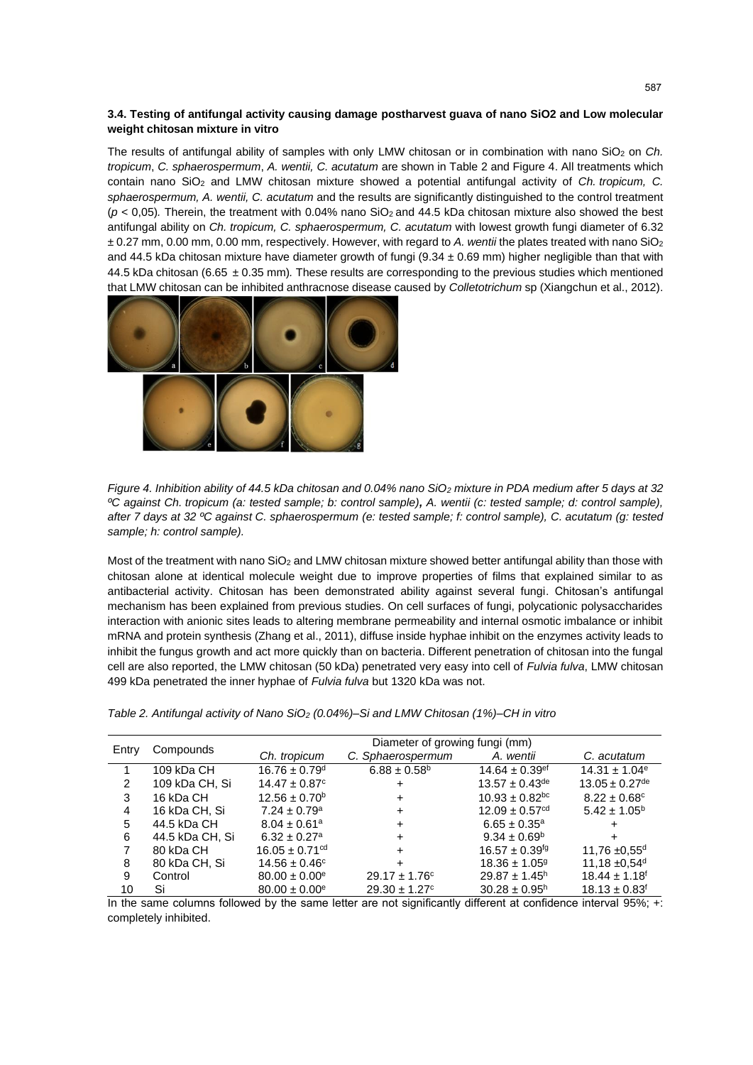## **3.4. Testing of antifungal activity causing damage postharvest guava of nano SiO2 and Low molecular weight chitosan mixture in vitro**

The results of antifungal ability of samples with only LMW chitosan or in combination with nano SiO<sub>2</sub> on *Ch. tropicum*, *C. sphaerospermum*, *A. wentii, C. acutatum* are shown in Table 2 and Figure 4. All treatments which contain nano SiO<sup>2</sup> and LMW chitosan mixture showed a potential antifungal activity of *Ch. tropicum, C. sphaerospermum, A. wentii, C. acutatum* and the results are significantly distinguished to the control treatment (*p* < 0,05)*.* Therein, the treatment with 0.04% nano SiO2 and 44.5 kDa chitosan mixture also showed the best antifungal ability on *Ch. tropicum, C. sphaerospermum, C. acutatum* with lowest growth fungi diameter of 6.32 ± 0.27 mm, 0.00 mm, 0.00 mm, respectively. However, with regard to *A. wentii* the plates treated with nano SiO<sup>2</sup> and 44.5 kDa chitosan mixture have diameter growth of fungi ( $9.34 \pm 0.69$  mm) higher negligible than that with 44.5 kDa chitosan (6.65 ± 0.35 mm)*.* These results are corresponding to the previous studies which mentioned that LMW chitosan can be inhibited anthracnose disease caused by *Colletotrichum* sp (Xiangchun et al., 2012).



*Figure 4. Inhibition ability of 44.5 kDa chitosan and 0.04% nano SiO<sub>2</sub> mixture in PDA medium after 5 days at 32 ºC against Ch. tropicum (a: tested sample; b: control sample), A. wentii (c: tested sample; d: control sample), after 7 days at 32 ºC against C. sphaerospermum (e: tested sample; f: control sample), C. acutatum (g: tested sample; h: control sample).*

Most of the treatment with nano SiO<sup>2</sup> and LMW chitosan mixture showed better antifungal ability than those with chitosan alone at identical molecule weight due to improve properties of films that explained similar to as antibacterial activity. Chitosan has been demonstrated ability against several fungi. Chitosan's antifungal mechanism has been explained from previous studies. On cell surfaces of fungi, polycationic polysaccharides interaction with anionic sites leads to altering membrane permeability and internal osmotic imbalance or inhibit mRNA and protein synthesis (Zhang et al., 2011), diffuse inside hyphae inhibit on the enzymes activity leads to inhibit the fungus growth and act more quickly than on bacteria. Different penetration of chitosan into the fungal cell are also reported, the LMW chitosan (50 kDa) penetrated very easy into cell of *Fulvia fulva*, LMW chitosan 499 kDa penetrated the inner hyphae of *Fulvia fulva* but 1320 kDa was not.

| Entry | Compounds       | Diameter of growing fungi (mm) |                               |                                |                                |  |
|-------|-----------------|--------------------------------|-------------------------------|--------------------------------|--------------------------------|--|
|       |                 | Ch. tropicum                   | C. Sphaerospermum             | A. wentii                      | C. acutatum                    |  |
|       | 109 kDa CH      | $16.76 \pm 0.79$ <sup>d</sup>  | $6.88 \pm 0.58^{\rm b}$       | 14.64 $\pm$ 0.39 <sup>ef</sup> | $14.31 \pm 1.04$ <sup>e</sup>  |  |
| 2     | 109 kDa CH, Si  | $14.47 \pm 0.87$ °             | ÷                             | $13.57 \pm 0.43^{\text{de}}$   | $13.05 \pm 0.27$ <sup>de</sup> |  |
| 3     | 16 kDa CH       | $12.56 \pm 0.70^{\circ}$       | +                             | $10.93 \pm 0.82$ <sup>bc</sup> | $8.22 \pm 0.68$ <sup>c</sup>   |  |
| 4     | 16 kDa CH, Si   | $7.24 \pm 0.79$ <sup>a</sup>   | +                             | $12.09 \pm 0.57$ <sup>cd</sup> | $5.42 \pm 1.05^{\circ}$        |  |
| 5     | 44.5 kDa CH     | $8.04 \pm 0.61$ <sup>a</sup>   | $\div$                        | $6.65 \pm 0.35^{\circ}$        |                                |  |
| 6     | 44.5 kDa CH, Si | $6.32 \pm 0.27$ <sup>a</sup>   | ÷                             | $9.34 \pm 0.69^{\circ}$        |                                |  |
|       | 80 kDa CH       | $16.05 \pm 0.71^{\text{cd}}$   | ÷                             | $16.57 \pm 0.39^{fg}$          | 11,76 $\pm$ 0,55 <sup>d</sup>  |  |
| 8     | 80 kDa CH, Si   | $14.56 \pm 0.46^{\circ}$       | +                             | $18.36 \pm 1.05$ <sup>g</sup>  | 11,18 $\pm 0.54$ <sup>d</sup>  |  |
| 9     | Control         | $80.00 \pm 0.00^{\circ}$       | $29.17 \pm 1.76^{\circ}$      | $29.87 \pm 1.45$ <sup>h</sup>  | $18.44 \pm 1.18$ <sup>f</sup>  |  |
| 10    | Si              | $80.00 \pm 0.00^{\circ}$       | $29.30 \pm 1.27$ <sup>c</sup> | $30.28 \pm 0.95^h$             | $18.13 \pm 0.83$ <sup>f</sup>  |  |

*Table 2. Antifungal activity of Nano SiO<sup>2</sup> (0.04%)–Si and LMW Chitosan (1%)–CH in vitro*

In the same columns followed by the same letter are not significantly different at confidence interval 95%; +: completely inhibited.